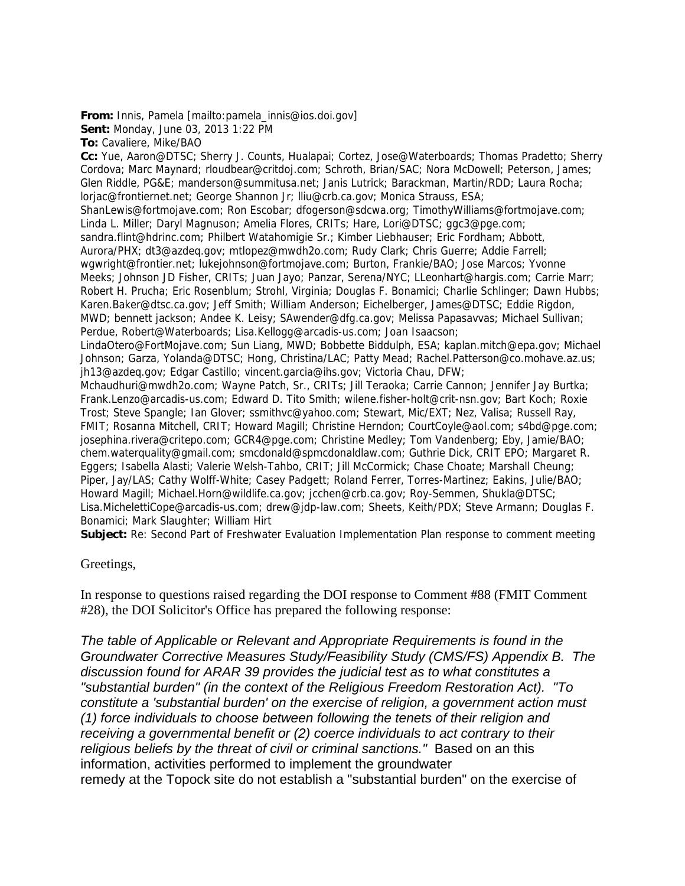**From:** Innis, Pamela [mailto:pamela\_innis@ios.doi.gov] **Sent:** Monday, June 03, 2013 1:22 PM

**To:** Cavaliere, Mike/BAO

**Cc:** Yue, Aaron@DTSC; Sherry J. Counts, Hualapai; Cortez, Jose@Waterboards; Thomas Pradetto; Sherry Cordova; Marc Maynard; rloudbear@critdoj.com; Schroth, Brian/SAC; Nora McDowell; Peterson, James; Glen Riddle, PG&E; manderson@summitusa.net; Janis Lutrick; Barackman, Martin/RDD; Laura Rocha; lorjac@frontiernet.net; George Shannon Jr; lliu@crb.ca.gov; Monica Strauss, ESA; ShanLewis@fortmojave.com; Ron Escobar; dfogerson@sdcwa.org; TimothyWilliams@fortmojave.com; Linda L. Miller; Daryl Magnuson; Amelia Flores, CRITs; Hare, Lori@DTSC; ggc3@pge.com; sandra.flint@hdrinc.com; Philbert Watahomigie Sr.; Kimber Liebhauser; Eric Fordham; Abbott, Aurora/PHX; dt3@azdeq.gov; mtlopez@mwdh2o.com; Rudy Clark; Chris Guerre; Addie Farrell; wgwright@frontier.net; lukejohnson@fortmojave.com; Burton, Frankie/BAO; Jose Marcos; Yvonne Meeks; Johnson JD Fisher, CRITs; Juan Jayo; Panzar, Serena/NYC; LLeonhart@hargis.com; Carrie Marr; Robert H. Prucha; Eric Rosenblum; Strohl, Virginia; Douglas F. Bonamici; Charlie Schlinger; Dawn Hubbs; Karen.Baker@dtsc.ca.gov; Jeff Smith; William Anderson; Eichelberger, James@DTSC; Eddie Rigdon, MWD; bennett jackson; Andee K. Leisy; SAwender@dfg.ca.gov; Melissa Papasavvas; Michael Sullivan; Perdue, Robert@Waterboards; Lisa.Kellogg@arcadis-us.com; Joan Isaacson; LindaOtero@FortMojave.com; Sun Liang, MWD; Bobbette Biddulph, ESA; kaplan.mitch@epa.gov; Michael Johnson; Garza, Yolanda@DTSC; Hong, Christina/LAC; Patty Mead; Rachel.Patterson@co.mohave.az.us; jh13@azdeq.gov; Edgar Castillo; vincent.garcia@ihs.gov; Victoria Chau, DFW; Mchaudhuri@mwdh2o.com; Wayne Patch, Sr., CRITs; Jill Teraoka; Carrie Cannon; Jennifer Jay Burtka; Frank.Lenzo@arcadis-us.com; Edward D. Tito Smith; wilene.fisher-holt@crit-nsn.gov; Bart Koch; Roxie Trost; Steve Spangle; Ian Glover; ssmithvc@yahoo.com; Stewart, Mic/EXT; Nez, Valisa; Russell Ray, FMIT; Rosanna Mitchell, CRIT; Howard Magill; Christine Herndon; CourtCoyle@aol.com; s4bd@pge.com; josephina.rivera@critepo.com; GCR4@pge.com; Christine Medley; Tom Vandenberg; Eby, Jamie/BAO; chem.waterquality@gmail.com; smcdonald@spmcdonaldlaw.com; Guthrie Dick, CRIT EPO; Margaret R. Eggers; Isabella Alasti; Valerie Welsh-Tahbo, CRIT; Jill McCormick; Chase Choate; Marshall Cheung; Piper, Jay/LAS; Cathy Wolff-White; Casey Padgett; Roland Ferrer, Torres-Martinez; Eakins, Julie/BAO; Howard Magill; Michael.Horn@wildlife.ca.gov; jcchen@crb.ca.gov; Roy-Semmen, Shukla@DTSC; Lisa.MichelettiCope@arcadis-us.com; drew@jdp-law.com; Sheets, Keith/PDX; Steve Armann; Douglas F. Bonamici; Mark Slaughter; William Hirt

**Subject:** Re: Second Part of Freshwater Evaluation Implementation Plan response to comment meeting

Greetings,

In response to questions raised regarding the DOI response to Comment #88 (FMIT Comment #28), the DOI Solicitor's Office has prepared the following response:

*The table of Applicable or Relevant and Appropriate Requirements is found in the Groundwater Corrective Measures Study/Feasibility Study (CMS/FS) Appendix B. The discussion found for ARAR 39 provides the judicial test as to what constitutes a "substantial burden" (in the context of the Religious Freedom Restoration Act). "To constitute a 'substantial burden' on the exercise of religion, a government action must (1) force individuals to choose between following the tenets of their religion and receiving a governmental benefit or (2) coerce individuals to act contrary to their religious beliefs by the threat of civil or criminal sanctions."* Based on an this information, activities performed to implement the groundwater remedy at the Topock site do not establish a "substantial burden" on the exercise of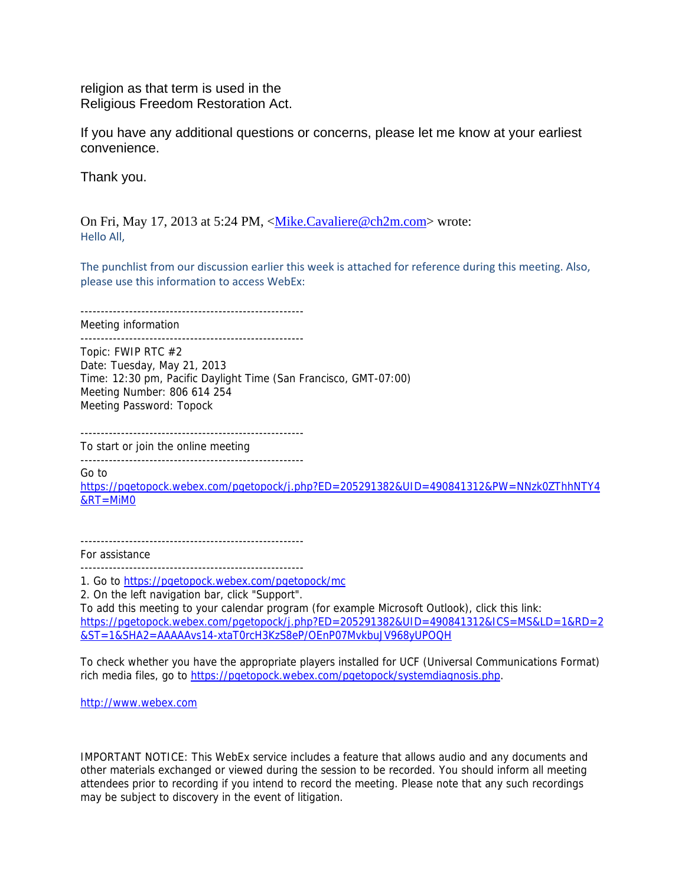religion as that term is used in the Religious Freedom Restoration Act.

If you have any additional questions or concerns, please let me know at your earliest convenience.

Thank you.

On Fri, May 17, 2013 at 5:24 PM, <Mike.Cavaliere@ch2m.com> wrote: Hello All,

The punchlist from our discussion earlier this week is attached for reference during this meeting. Also, please use this information to access WebEx:

-------------------------------------------------------

Meeting information

-------------------------------------------------------

Topic: FWIP RTC #2 Date: Tuesday, May 21, 2013 Time: 12:30 pm, Pacific Daylight Time (San Francisco, GMT-07:00) Meeting Number: 806 614 254 Meeting Password: Topock

-------------------------------------------------------

To start or join the online meeting

-------------------------------------------------------

Go to

https://pgetopock.webex.com/pgetopock/j.php?ED=205291382&UID=490841312&PW=NNzk0ZThhNTY4 &RT=MiM0

-------------------------------------------------------

For assistance

-------------------------------------------------------

To add this meeting to your calendar program (for example Microsoft Outlook), click this link: https://pgetopock.webex.com/pgetopock/j.php?ED=205291382&UID=490841312&ICS=MS&LD=1&RD=2 &ST=1&SHA2=AAAAAvs14-xtaT0rcH3KzS8eP/OEnP07MvkbuJV968yUPOQH

To check whether you have the appropriate players installed for UCF (Universal Communications Format) rich media files, go to https://pgetopock.webex.com/pgetopock/systemdiagnosis.php.

http://www.webex.com

IMPORTANT NOTICE: This WebEx service includes a feature that allows audio and any documents and other materials exchanged or viewed during the session to be recorded. You should inform all meeting attendees prior to recording if you intend to record the meeting. Please note that any such recordings may be subject to discovery in the event of litigation.

<sup>1.</sup> Go to https://pgetopock.webex.com/pgetopock/mc

<sup>2.</sup> On the left navigation bar, click "Support".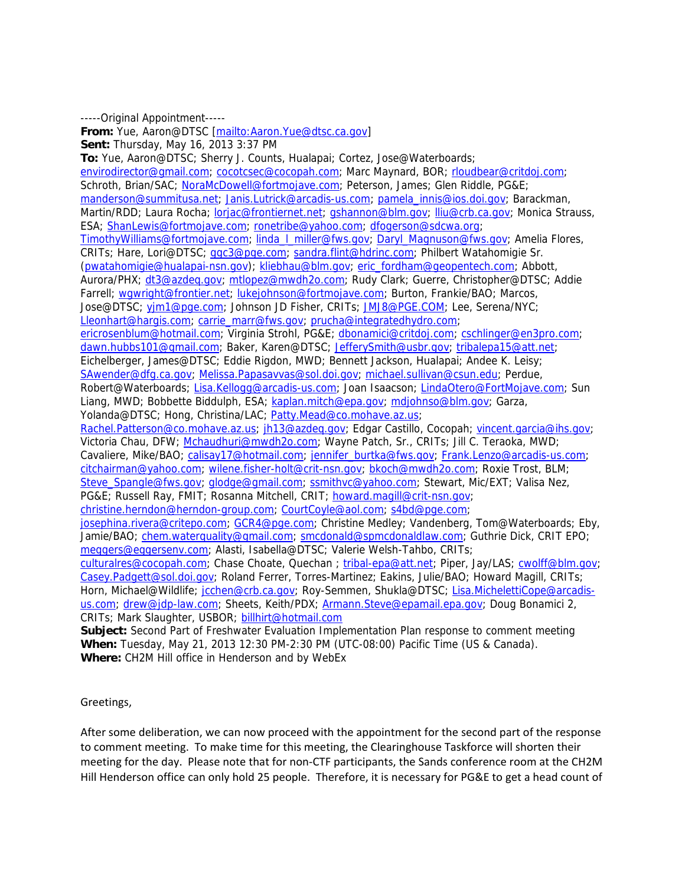-----Original Appointment-----

**From:** Yue, Aaron@DTSC [mailto:Aaron.Yue@dtsc.ca.gov]

**Sent:** Thursday, May 16, 2013 3:37 PM

**To:** Yue, Aaron@DTSC; Sherry J. Counts, Hualapai; Cortez, Jose@Waterboards; envirodirector@gmail.com; cocotcsec@cocopah.com; Marc Maynard, BOR; rloudbear@critdoj.com; Schroth, Brian/SAC; NoraMcDowell@fortmojave.com; Peterson, James; Glen Riddle, PG&E; manderson@summitusa.net; Janis.Lutrick@arcadis-us.com; pamela\_innis@ios.doi.gov; Barackman, Martin/RDD; Laura Rocha; lorjac@frontiernet.net; gshannon@blm.gov; lliu@crb.ca.gov; Monica Strauss, ESA; ShanLewis@fortmojave.com; ronetribe@yahoo.com; dfogerson@sdcwa.org; TimothyWilliams@fortmojave.com; linda\_l\_miller@fws.gov; Daryl\_Magnuson@fws.gov; Amelia Flores, CRITs; Hare, Lori@DTSC; *ggc3@pge.com; sandra.flint@hdrinc.com;* Philbert Watahomigie Sr. (pwatahomigie@hualapai-nsn.gov); kliebhau@blm.gov; eric\_fordham@geopentech.com; Abbott, Aurora/PHX; dt3@azdeq.gov; mtlopez@mwdh2o.com; Rudy Clark; Guerre, Christopher@DTSC; Addie Farrell; wgwright@frontier.net; lukejohnson@fortmojave.com; Burton, Frankie/BAO; Marcos, Jose@DTSC; yjm1@pge.com; Johnson JD Fisher, CRITs; JMJ8@PGE.COM; Lee, Serena/NYC; Lleonhart@hargis.com; carrie\_marr@fws.gov; prucha@integratedhydro.com; ericrosenblum@hotmail.com; Virginia Strohl, PG&E; dbonamici@critdoj.com; cschlinger@en3pro.com; dawn.hubbs101@gmail.com; Baker, Karen@DTSC; JefferySmith@usbr.gov; tribalepa15@att.net; Eichelberger, James@DTSC; Eddie Rigdon, MWD; Bennett Jackson, Hualapai; Andee K. Leisy; SAwender@dfg.ca.gov; Melissa.Papasavvas@sol.doi.gov; michael.sullivan@csun.edu; Perdue, Robert@Waterboards; Lisa.Kellogg@arcadis-us.com; Joan Isaacson; LindaOtero@FortMojave.com; Sun Liang, MWD; Bobbette Biddulph, ESA; kaplan.mitch@epa.gov; mdjohnso@blm.gov; Garza, Yolanda@DTSC; Hong, Christina/LAC; Patty.Mead@co.mohave.az.us; Rachel.Patterson@co.mohave.az.us; jh13@azdeq.gov; Edgar Castillo, Cocopah; vincent.garcia@ihs.gov; Victoria Chau, DFW; Mchaudhuri@mwdh2o.com; Wayne Patch, Sr., CRITs; Jill C. Teraoka, MWD; Cavaliere, Mike/BAO; calisay17@hotmail.com; jennifer\_burtka@fws.gov; Frank.Lenzo@arcadis-us.com; citchairman@yahoo.com; wilene.fisher-holt@crit-nsn.gov; bkoch@mwdh2o.com; Roxie Trost, BLM; Steve\_Spangle@fws.gov; glodge@gmail.com; ssmithvc@yahoo.com; Stewart, Mic/EXT; Valisa Nez, PG&E; Russell Ray, FMIT; Rosanna Mitchell, CRIT; howard.magill@crit-nsn.gov; christine.herndon@herndon-group.com; CourtCoyle@aol.com; s4bd@pge.com; josephina.rivera@critepo.com; GCR4@pge.com; Christine Medley; Vandenberg, Tom@Waterboards; Eby, Jamie/BAO; chem.waterquality@gmail.com; smcdonald@spmcdonaldlaw.com; Guthrie Dick, CRIT EPO; meggers@eggersenv.com; Alasti, Isabella@DTSC; Valerie Welsh-Tahbo, CRITs; culturalres@cocopah.com; Chase Choate, Quechan ; tribal-epa@att.net; Piper, Jay/LAS; cwolff@blm.gov; Casey.Padgett@sol.doi.gov; Roland Ferrer, Torres-Martinez; Eakins, Julie/BAO; Howard Magill, CRITs; Horn, Michael@Wildlife; jcchen@crb.ca.gov; Roy-Semmen, Shukla@DTSC; Lisa.MichelettiCope@arcadisus.com; drew@jdp-law.com; Sheets, Keith/PDX; Armann.Steve@epamail.epa.gov; Doug Bonamici 2, CRITs; Mark Slaughter, USBOR; billhirt@hotmail.com **Subject:** Second Part of Freshwater Evaluation Implementation Plan response to comment meeting **When:** Tuesday, May 21, 2013 12:30 PM-2:30 PM (UTC-08:00) Pacific Time (US & Canada).

**Where:** CH2M Hill office in Henderson and by WebEx

Greetings,

After some deliberation, we can now proceed with the appointment for the second part of the response to comment meeting. To make time for this meeting, the Clearinghouse Taskforce will shorten their meeting for the day. Please note that for non‐CTF participants, the Sands conference room at the CH2M Hill Henderson office can only hold 25 people. Therefore, it is necessary for PG&E to get a head count of